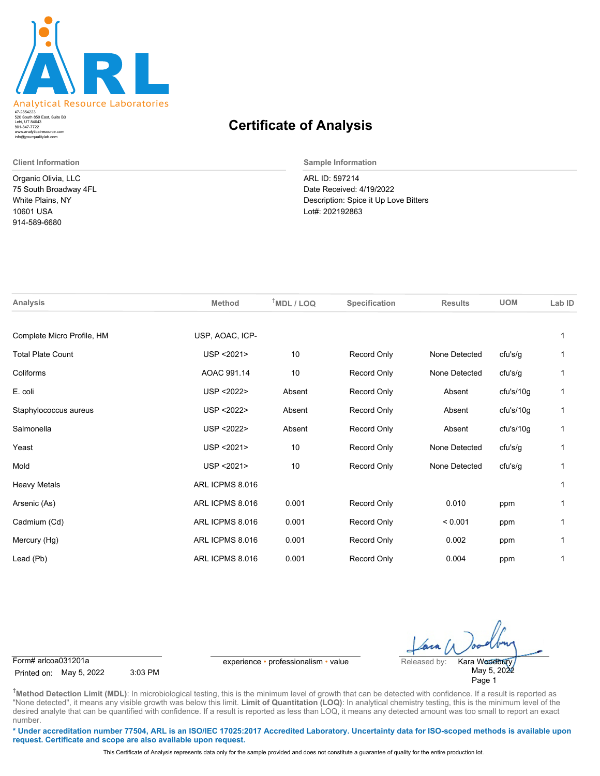

520 South 850 East, Suite B3 Lehi, UT 84043 47-2854223 801-847-7722 www.analyticalresource.com info@yourqualitylab.com

Organic Olivia, LLC 75 South Broadway 4FL White Plains, NY 10601 USA 914-589-6680

## **Certificate of Analysis**

**Client Information Sample Information**

ARL ID: 597214 Date Received: 4/19/2022 Description: Spice it Up Love Bitters Lot#: 202192863

| <b>Analysis</b>            | <b>Method</b>   | $T$ MDL / LOQ | Specification | <b>Results</b> | <b>UOM</b> | Lab ID |
|----------------------------|-----------------|---------------|---------------|----------------|------------|--------|
| Complete Micro Profile, HM | USP, AOAC, ICP- |               |               |                |            | 1      |
| <b>Total Plate Count</b>   | USP < 2021>     | 10            | Record Only   | None Detected  | cfu's/g    |        |
| Coliforms                  | AOAC 991.14     | 10            | Record Only   | None Detected  | cfu's/g    | 1      |
| E. coli                    | USP < 2022>     | Absent        | Record Only   | Absent         | cfu's/10g  | 1      |
| Staphylococcus aureus      | USP < 2022>     | Absent        | Record Only   | Absent         | cfu's/10g  | 1      |
| Salmonella                 | USP < 2022>     | Absent        | Record Only   | Absent         | cfu's/10g  | 1      |
| Yeast                      | USP < 2021>     | 10            | Record Only   | None Detected  | cfu's/g    | 1      |
| Mold                       | USP < 2021>     | 10            | Record Only   | None Detected  | cfu's/g    | 1      |
| <b>Heavy Metals</b>        | ARL ICPMS 8.016 |               |               |                |            | 1      |
| Arsenic (As)               | ARL ICPMS 8.016 | 0.001         | Record Only   | 0.010          | ppm        |        |
| Cadmium (Cd)               | ARL ICPMS 8.016 | 0.001         | Record Only   | < 0.001        | ppm        | 1      |
| Mercury (Hg)               | ARL ICPMS 8.016 | 0.001         | Record Only   | 0.002          | ppm        |        |
| Lead (Pb)                  | ARL ICPMS 8.016 | 0.001         | Record Only   | 0.004          | ppm        | 1      |
|                            |                 |               |               |                |            |        |

Printed on: May 5, 2022 3:03 PM

Form# arlcoa031201a experience • professionalism • value Released by:

May 5, 2022 Page 1 Kara Woodbury

**†Method Detection Limit (MDL)**: In microbiological testing, this is the minimum level of growth that can be detected with confidence. If a result is reported as "None detected", it means any visible growth was below this limit. Limit of Quantitation (LOQ): In analytical chemistry testing, this is the minimum level of the desired analyte that can be quantified with confidence. If a result is reported as less than LOQ, it means any detected amount was too small to report an exact number.

**\* Under accreditation number 77504, ARL is an ISO/IEC 17025:2017 Accredited Laboratory. Uncertainty data for ISO-scoped methods is available upon request. Certificate and scope are also available upon request.**